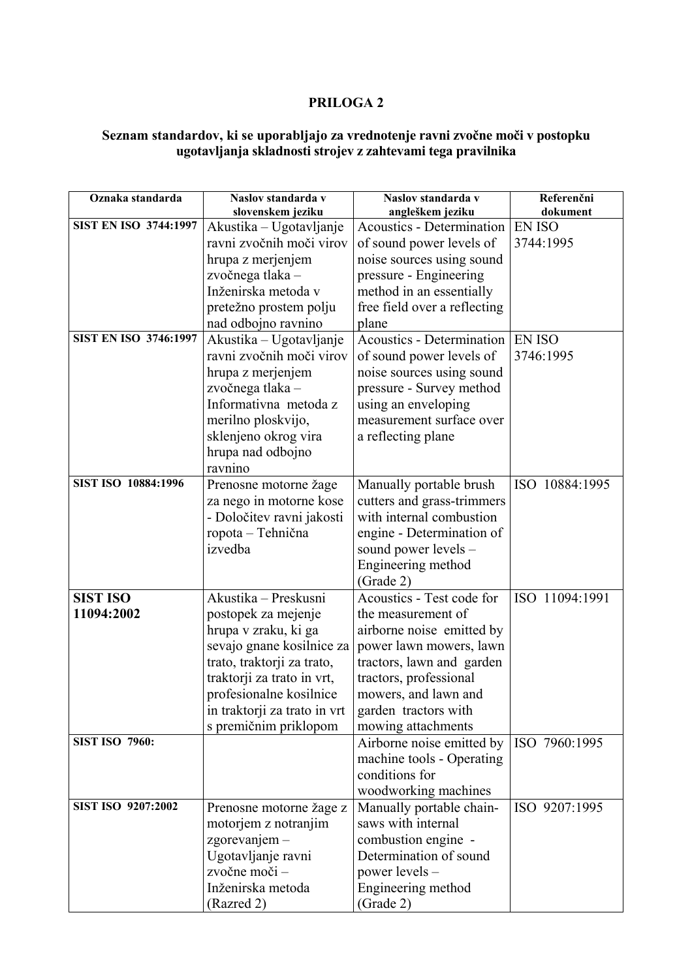## **PRILOGA 2**

## **Seznam standardov, ki se uporabljajo za vrednotenje ravni zvočne moči v postopku ugotavljanja skladnosti strojev z zahtevami tega pravilnika**

| Oznaka standarda             | Naslov standarda v           | Naslov standarda v           | Referenčni     |
|------------------------------|------------------------------|------------------------------|----------------|
|                              | slovenskem jeziku            | angleškem jeziku             | dokument       |
| <b>SIST EN ISO 3744:1997</b> | Akustika – Ugotavljanje      | Acoustics - Determination    | <b>EN ISO</b>  |
|                              | ravni zvočnih moči virov     | of sound power levels of     | 3744:1995      |
|                              | hrupa z merjenjem            | noise sources using sound    |                |
|                              | zvočnega tlaka –             | pressure - Engineering       |                |
|                              | Inženirska metoda v          | method in an essentially     |                |
|                              | pretežno prostem polju       | free field over a reflecting |                |
|                              | nad odbojno ravnino          | plane                        |                |
| <b>SIST EN ISO 3746:1997</b> | Akustika - Ugotavljanje      | Acoustics - Determination    | <b>EN ISO</b>  |
|                              | ravni zvočnih moči virov     | of sound power levels of     | 3746:1995      |
|                              | hrupa z merjenjem            | noise sources using sound    |                |
|                              | zvočnega tlaka –             | pressure - Survey method     |                |
|                              | Informativna metoda z        | using an enveloping          |                |
|                              | merilno ploskvijo,           | measurement surface over     |                |
|                              | sklenjeno okrog vira         | a reflecting plane           |                |
|                              | hrupa nad odbojno            |                              |                |
|                              | ravnino                      |                              |                |
| SIST ISO 10884:1996          | Prenosne motorne žage        | Manually portable brush      | ISO 10884:1995 |
|                              | za nego in motorne kose      | cutters and grass-trimmers   |                |
|                              | - Določitev ravni jakosti    | with internal combustion     |                |
|                              | ropota - Tehnična            | engine - Determination of    |                |
|                              | izvedba                      | sound power levels –         |                |
|                              |                              | Engineering method           |                |
|                              |                              | (Grade 2)                    |                |
| <b>SIST ISO</b>              | Akustika – Preskusni         | Acoustics - Test code for    | ISO 11094:1991 |
| 11094:2002                   | postopek za mejenje          | the measurement of           |                |
|                              | hrupa v zraku, ki ga         | airborne noise emitted by    |                |
|                              | sevajo gnane kosilnice za    | power lawn mowers, lawn      |                |
|                              | trato, traktorji za trato,   | tractors, lawn and garden    |                |
|                              | traktorji za trato in vrt,   | tractors, professional       |                |
|                              | profesionalne kosilnice      | mowers, and lawn and         |                |
|                              | in traktorji za trato in vrt | garden tractors with         |                |
|                              | s premičnim priklopom        | mowing attachments           |                |
| <b>SIST ISO 7960:</b>        |                              | Airborne noise emitted by    | ISO 7960:1995  |
|                              |                              | machine tools - Operating    |                |
|                              |                              | conditions for               |                |
|                              |                              | woodworking machines         |                |
| SIST ISO 9207:2002           | Prenosne motorne žage z      | Manually portable chain-     | ISO 9207:1995  |
|                              | motorjem z notranjim         | saws with internal           |                |
|                              | zgorevanjem -                | combustion engine -          |                |
|                              | Ugotavljanje ravni           | Determination of sound       |                |
|                              | zvočne moči-                 | power levels -               |                |
|                              | Inženirska metoda            | Engineering method           |                |
|                              | (Razred 2)                   | (Grade 2)                    |                |